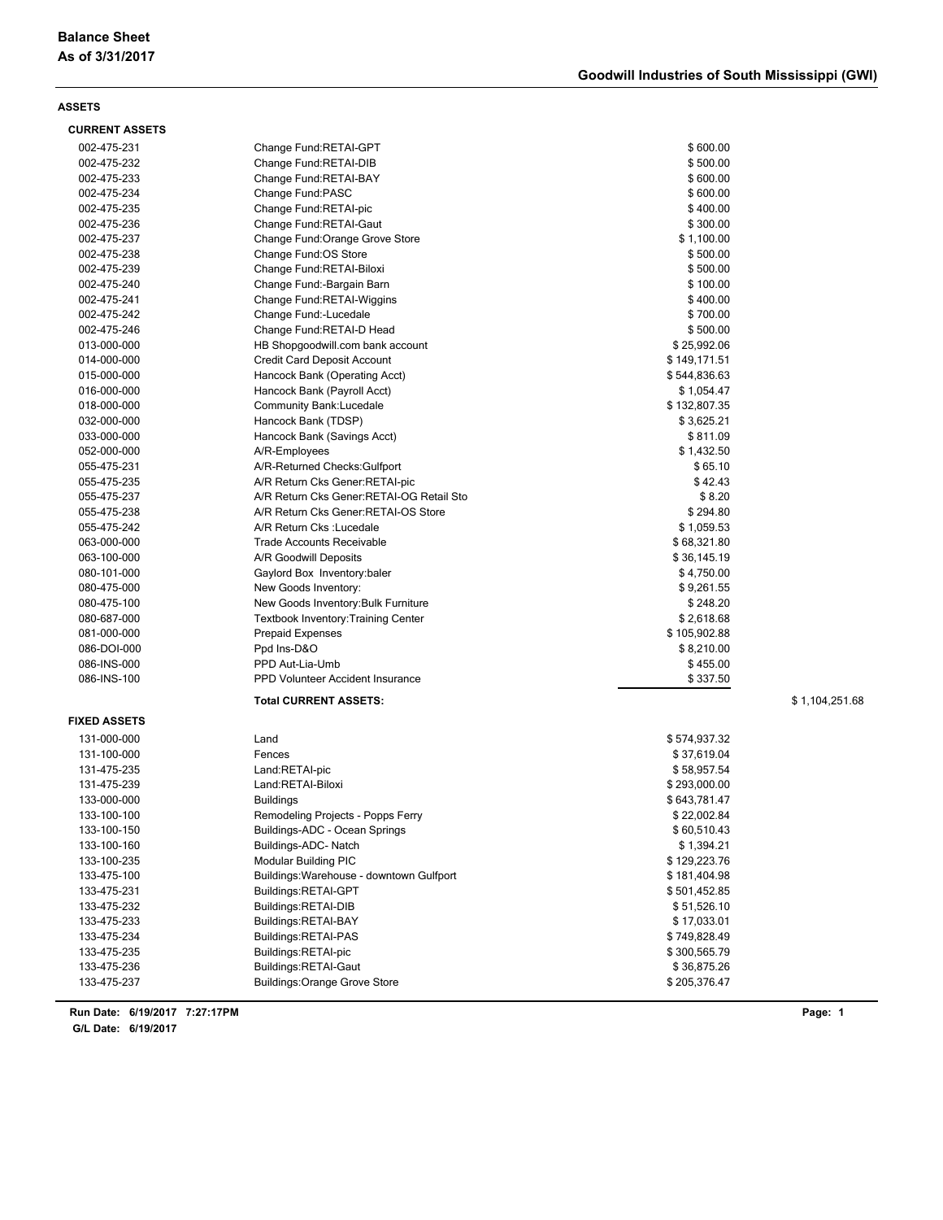| <b>CURRENT ASSETS</b> |                                            |              |                |
|-----------------------|--------------------------------------------|--------------|----------------|
| 002-475-231           | Change Fund:RETAI-GPT                      | \$600.00     |                |
| 002-475-232           | Change Fund:RETAI-DIB                      | \$500.00     |                |
| 002-475-233           | Change Fund: RETAI-BAY                     | \$600.00     |                |
| 002-475-234           | Change Fund:PASC                           | \$600.00     |                |
| 002-475-235           | Change Fund:RETAI-pic                      | \$400.00     |                |
| 002-475-236           | Change Fund:RETAI-Gaut                     | \$300.00     |                |
| 002-475-237           | Change Fund: Orange Grove Store            | \$1,100.00   |                |
| 002-475-238           | Change Fund:OS Store                       | \$500.00     |                |
| 002-475-239           | Change Fund:RETAI-Biloxi                   | \$500.00     |                |
| 002-475-240           | Change Fund:-Bargain Barn                  | \$100.00     |                |
| 002-475-241           | Change Fund: RETAI-Wiggins                 | \$400.00     |                |
| 002-475-242           | Change Fund:-Lucedale                      | \$700.00     |                |
| 002-475-246           | Change Fund:RETAI-D Head                   | \$500.00     |                |
| 013-000-000           | HB Shopgoodwill.com bank account           | \$25,992.06  |                |
| 014-000-000           | <b>Credit Card Deposit Account</b>         | \$149,171.51 |                |
| 015-000-000           | Hancock Bank (Operating Acct)              | \$544,836.63 |                |
| 016-000-000           | Hancock Bank (Payroll Acct)                | \$1,054.47   |                |
| 018-000-000           | Community Bank: Lucedale                   | \$132,807.35 |                |
| 032-000-000           | Hancock Bank (TDSP)                        | \$3,625.21   |                |
| 033-000-000           | Hancock Bank (Savings Acct)                | \$811.09     |                |
| 052-000-000           | A/R-Employees                              | \$1,432.50   |                |
| 055-475-231           | A/R-Returned Checks: Gulfport              | \$65.10      |                |
| 055-475-235           | A/R Return Cks Gener:RETAI-pic             | \$42.43      |                |
| 055-475-237           | A/R Return Cks Gener: RETAI-OG Retail Sto  | \$8.20       |                |
| 055-475-238           | A/R Return Cks Gener:RETAI-OS Store        | \$294.80     |                |
| 055-475-242           | A/R Return Cks : Lucedale                  | \$1,059.53   |                |
| 063-000-000           | <b>Trade Accounts Receivable</b>           | \$68,321.80  |                |
| 063-100-000           | A/R Goodwill Deposits                      | \$36,145.19  |                |
| 080-101-000           | Gaylord Box Inventory: baler               | \$4,750.00   |                |
| 080-475-000           | New Goods Inventory:                       | \$9,261.55   |                |
| 080-475-100           | New Goods Inventory: Bulk Furniture        | \$248.20     |                |
| 080-687-000           | <b>Textbook Inventory: Training Center</b> | \$2,618.68   |                |
| 081-000-000           | <b>Prepaid Expenses</b>                    | \$105,902.88 |                |
| 086-DOI-000           | Ppd Ins-D&O                                | \$8,210.00   |                |
| 086-INS-000           | PPD Aut-Lia-Umb                            | \$455.00     |                |
| 086-INS-100           | PPD Volunteer Accident Insurance           | \$337.50     |                |
|                       | <b>Total CURRENT ASSETS:</b>               |              | \$1,104,251.68 |
| <b>FIXED ASSETS</b>   |                                            |              |                |
| 131-000-000           | Land                                       | \$574,937.32 |                |
| 131-100-000           | Fences                                     | \$37,619.04  |                |
| 131-475-235           | Land:RETAI-pic                             | \$58,957.54  |                |
| 131-475-239           | Land:RETAI-Biloxi                          | \$293,000.00 |                |
| 133-000-000           | <b>Buildings</b>                           | \$643,781.47 |                |
| 133-100-100           | Remodeling Projects - Popps Ferry          | \$22,002.84  |                |
| 133-100-150           | Buildings-ADC - Ocean Springs              | \$60,510.43  |                |
| 133-100-160           | Buildings-ADC- Natch                       | \$1,394.21   |                |
| 133-100-235           | <b>Modular Building PIC</b>                | \$129,223.76 |                |
| 133-475-100           | Buildings: Warehouse - downtown Gulfport   | \$181,404.98 |                |
| 133-475-231           | Buildings:RETAI-GPT                        | \$501,452.85 |                |
| 133-475-232           | Buildings:RETAI-DIB                        | \$51,526.10  |                |
| 133-475-233           | Buildings:RETAI-BAY                        | \$17,033.01  |                |
| 133-475-234           | Buildings:RETAI-PAS                        | \$749,828.49 |                |
| 133-475-235           | Buildings:RETAI-pic                        | \$300,565.79 |                |
| 133-475-236           | Buildings:RETAI-Gaut                       | \$36,875.26  |                |
| 133-475-237           | <b>Buildings: Orange Grove Store</b>       | \$205,376.47 |                |

**6/19/2017 7:27:17PM Run Date: Page: 1**

**G/L Date: 6/19/2017**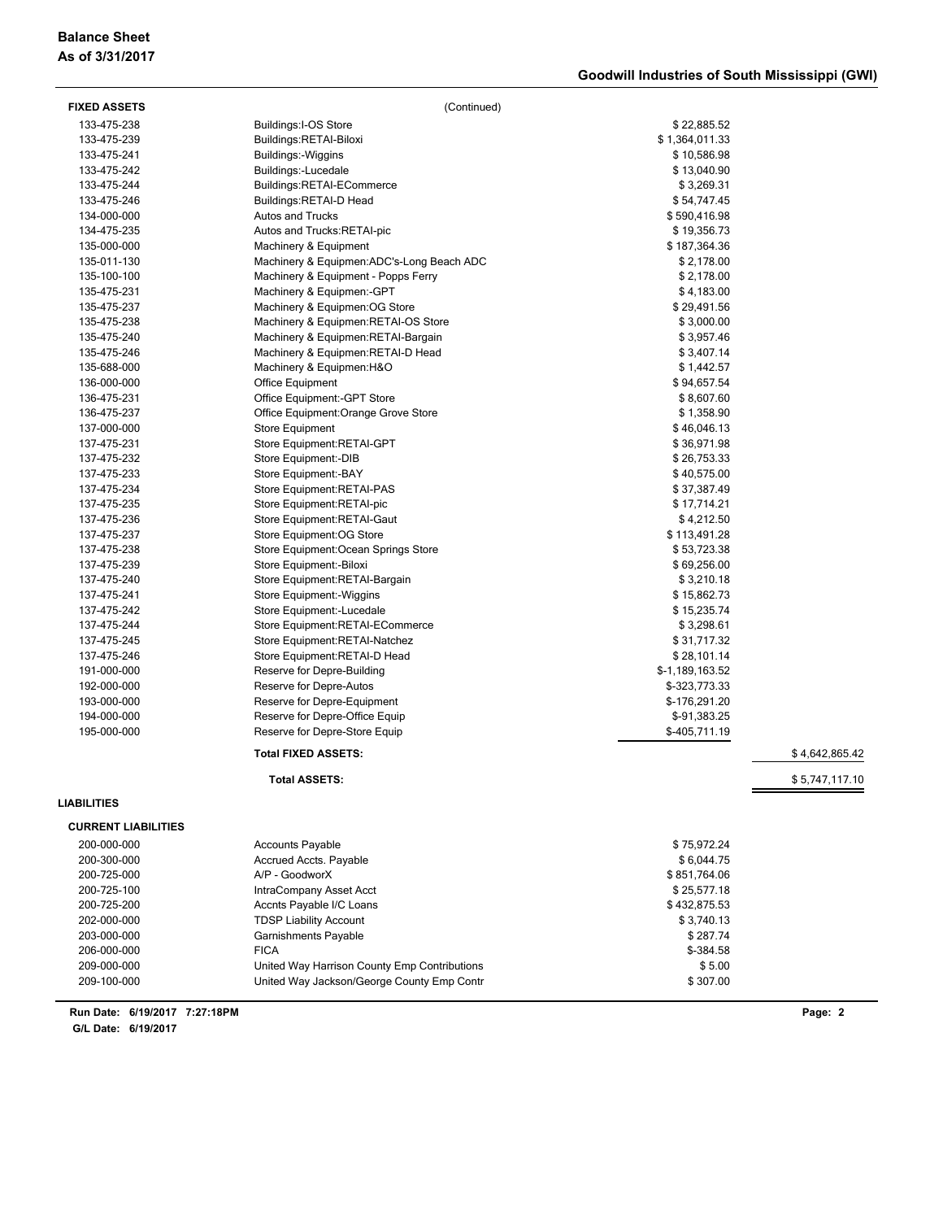## **Balance Sheet As of 3/31/2017**

| <b>FIXED ASSETS</b>        | (Continued)                                |                       |                |
|----------------------------|--------------------------------------------|-----------------------|----------------|
| 133-475-238                | Buildings: I-OS Store                      | \$22,885.52           |                |
| 133-475-239                | Buildings:RETAI-Biloxi                     | \$1,364,011.33        |                |
| 133-475-241                | Buildings:-Wiggins                         | \$10,586.98           |                |
| 133-475-242                | Buildings:-Lucedale                        | \$13,040.90           |                |
| 133-475-244                | Buildings:RETAI-ECommerce                  | \$3,269.31            |                |
| 133-475-246                | Buildings:RETAI-D Head                     | \$54,747.45           |                |
| 134-000-000                | <b>Autos and Trucks</b>                    | \$590,416.98          |                |
| 134-475-235                | Autos and Trucks: RETAI-pic                | \$19,356.73           |                |
| 135-000-000                | Machinery & Equipment                      | \$187,364.36          |                |
| 135-011-130                | Machinery & Equipmen: ADC's-Long Beach ADC | \$2,178.00            |                |
| 135-100-100                | Machinery & Equipment - Popps Ferry        | \$2,178.00            |                |
| 135-475-231                | Machinery & Equipmen:-GPT                  | \$4,183.00            |                |
| 135-475-237                | Machinery & Equipmen: OG Store             | \$29,491.56           |                |
| 135-475-238                | Machinery & Equipmen: RETAI-OS Store       | \$3,000.00            |                |
| 135-475-240                | Machinery & Equipmen: RETAI-Bargain        | \$3,957.46            |                |
| 135-475-246                | Machinery & Equipmen: RETAI-D Head         | \$3,407.14            |                |
| 135-688-000                | Machinery & Equipmen:H&O                   | \$1,442.57            |                |
| 136-000-000                | Office Equipment                           | \$94,657.54           |                |
| 136-475-231                | Office Equipment:-GPT Store                | \$8,607.60            |                |
| 136-475-237                | Office Equipment: Orange Grove Store       | \$1,358.90            |                |
| 137-000-000                | Store Equipment                            | \$46,046.13           |                |
| 137-475-231                | Store Equipment:RETAI-GPT                  | \$36,971.98           |                |
| 137-475-232                | Store Equipment:-DIB                       | \$26,753.33           |                |
| 137-475-233                | Store Equipment:-BAY                       | \$40,575.00           |                |
| 137-475-234                | Store Equipment: RETAI-PAS                 | \$37,387.49           |                |
| 137-475-235                | Store Equipment:RETAI-pic                  | \$17,714.21           |                |
| 137-475-236                | Store Equipment: RETAI-Gaut                | \$4,212.50            |                |
| 137-475-237                | Store Equipment: OG Store                  | \$113,491.28          |                |
| 137-475-238                | Store Equipment: Ocean Springs Store       | \$53,723.38           |                |
| 137-475-239                | Store Equipment:-Biloxi                    | \$69,256.00           |                |
| 137-475-240                | Store Equipment:RETAI-Bargain              | \$3,210.18            |                |
| 137-475-241                | Store Equipment:-Wiggins                   | \$15,862.73           |                |
| 137-475-242                | Store Equipment:-Lucedale                  | \$15,235.74           |                |
| 137-475-244                | Store Equipment:RETAI-ECommerce            | \$3,298.61            |                |
| 137-475-245                | Store Equipment: RETAI-Natchez             | \$31,717.32           |                |
| 137-475-246                | Store Equipment: RETAI-D Head              | \$28,101.14           |                |
| 191-000-000                | Reserve for Depre-Building                 | \$-1,189,163.52       |                |
| 192-000-000                | Reserve for Depre-Autos                    | \$-323,773.33         |                |
| 193-000-000                | Reserve for Depre-Equipment                | \$-176,291.20         |                |
| 194-000-000                | Reserve for Depre-Office Equip             | \$-91,383.25          |                |
| 195-000-000                | Reserve for Depre-Store Equip              | \$-405,711.19         |                |
|                            | <b>Total FIXED ASSETS:</b>                 |                       | \$4,642,865.42 |
|                            | <b>Total ASSETS:</b>                       |                       | \$5,747,117.10 |
| LIABILITIES                |                                            |                       |                |
| <b>CURRENT LIABILITIES</b> |                                            |                       |                |
| 200-000-000                | <b>Accounts Payable</b>                    | \$75,972.24           |                |
|                            |                                            | \$6,044.75            |                |
| 200-300-000                | Accrued Accts. Payable<br>A/P - GoodworX   |                       |                |
| 200-725-000<br>200-725-100 | IntraCompany Asset Acct                    | \$851,764.06          |                |
|                            |                                            | \$25,577.18           |                |
| 200-725-200                | Accnts Payable I/C Loans                   | \$432,875.53          |                |
| 202-000-000                | <b>TDSP Liability Account</b>              | \$3,740.13            |                |
| 203-000-000<br>206-000-000 | Garnishments Payable                       | \$287.74<br>\$-384.58 |                |
|                            | <b>FICA</b>                                |                       |                |

209-000-000 United Way Harrison County Emp Contributions \$ 5.00 209-100-000 United Way Jackson/George County Emp Contr \$ 307.00

**6/19/2017 7:27:18PM Run Date: Page: 2**

**G/L Date: 6/19/2017**